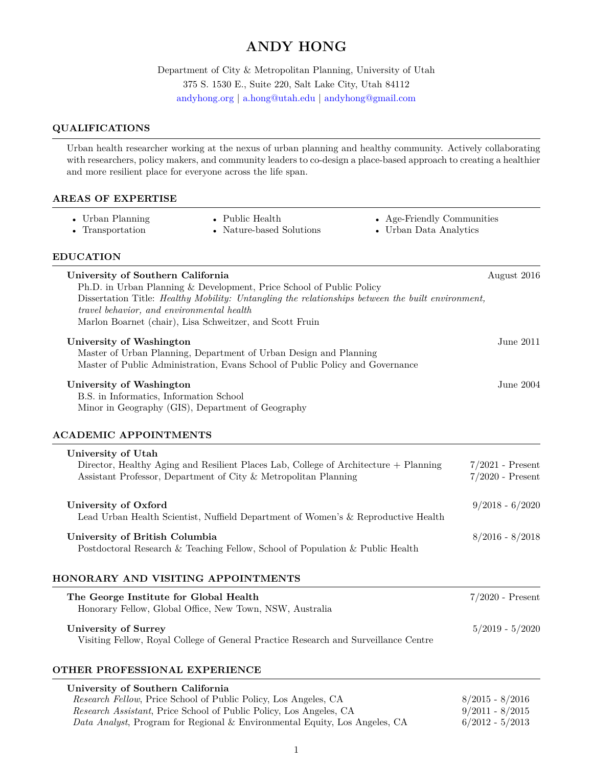# **ANDY HONG**

Department of City & Metropolitan Planning, University of Utah 375 S. 1530 E., Suite 220, Salt Lake City, Utah 84112 [andyhong.org](https://www.andyhong.org) *|* [a.hong@utah.edu](mailto:a.hong@utah.edu) *|* [andyhong@gmail.com](mailto:andyhong@gmail.com)

# **QUALIFICATIONS**

Urban health researcher working at the nexus of urban planning and healthy community. Actively collaborating with researchers, policy makers, and community leaders to co-design a place-based approach to creating a healthier and more resilient place for everyone across the life span.

### **AREAS OF EXPERTISE**

| • Urban Planning | • Public Health          | • Age-Friendly Communities |
|------------------|--------------------------|----------------------------|
| • Transportation | • Nature-based Solutions | • Urban Data Analytics     |

- 
- 
- Nature-based Solutions
- 
- 

### **EDUCATION**

| University of Southern California<br>Ph.D. in Urban Planning & Development, Price School of Public Policy<br>Dissertation Title: Healthy Mobility: Untangling the relationships between the built environment,<br>travel behavior, and environmental health<br>Marlon Boarnet (chair), Lisa Schweitzer, and Scott Fruin | August 2016                              |
|-------------------------------------------------------------------------------------------------------------------------------------------------------------------------------------------------------------------------------------------------------------------------------------------------------------------------|------------------------------------------|
| University of Washington<br>Master of Urban Planning, Department of Urban Design and Planning<br>Master of Public Administration, Evans School of Public Policy and Governance                                                                                                                                          | June 2011 $\,$                           |
| University of Washington<br>B.S. in Informatics, Information School<br>Minor in Geography (GIS), Department of Geography                                                                                                                                                                                                | June $2004$                              |
| <b>ACADEMIC APPOINTMENTS</b>                                                                                                                                                                                                                                                                                            |                                          |
| University of Utah<br>Director, Healthy Aging and Resilient Places Lab, College of Architecture + Planning<br>Assistant Professor, Department of City & Metropolitan Planning                                                                                                                                           | $7/2021$ - Present<br>$7/2020$ - Present |
| University of Oxford<br>Lead Urban Health Scientist, Nuffield Department of Women's & Reproductive Health                                                                                                                                                                                                               | $9/2018 - 6/2020$                        |
| University of British Columbia<br>Postdoctoral Research & Teaching Fellow, School of Population & Public Health                                                                                                                                                                                                         | $8/2016 - 8/2018$                        |
| HONORARY AND VISITING APPOINTMENTS                                                                                                                                                                                                                                                                                      |                                          |
| The George Institute for Global Health<br>Honorary Fellow, Global Office, New Town, NSW, Australia                                                                                                                                                                                                                      | $7/2020$ - Present                       |
| <b>University of Surrey</b><br>Visiting Fellow, Royal College of General Practice Research and Surveillance Centre                                                                                                                                                                                                      | $5/2019 - 5/2020$                        |
| OTHER PROFESSIONAL EXPERIENCE                                                                                                                                                                                                                                                                                           |                                          |
| University of Southern California                                                                                                                                                                                                                                                                                       |                                          |

| литегзиу от воценети санютна                                               |                   |  |
|----------------------------------------------------------------------------|-------------------|--|
| Research Fellow, Price School of Public Policy, Los Angeles, CA            | $8/2015 - 8/2016$ |  |
| <i>Research Assistant</i> , Price School of Public Policy, Los Angeles, CA | $9/2011 - 8/2015$ |  |
| Data Analyst, Program for Regional & Environmental Equity, Los Angeles, CA | $6/2012 - 5/2013$ |  |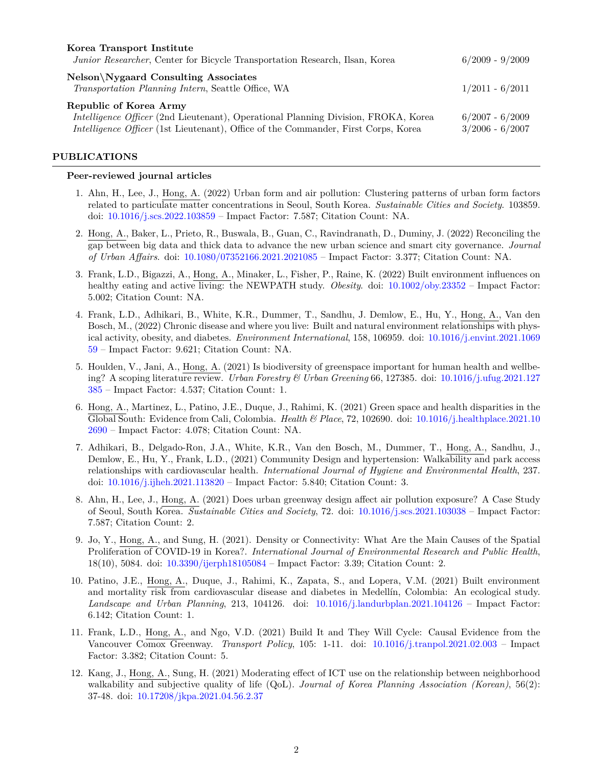| Korea Transport Institute<br>Junior Researcher, Center for Bicycle Transportation Research, Ilsan, Korea                                                                                                  | $6/2009 - 9/2009$                      |
|-----------------------------------------------------------------------------------------------------------------------------------------------------------------------------------------------------------|----------------------------------------|
| <b>Nelson</b> \Nygaard Consulting Associates<br>Transportation Planning Intern, Seattle Office, WA                                                                                                        | $1/2011 - 6/2011$                      |
| Republic of Korea Army<br>Intelligence Officer (2nd Lieutenant), Operational Planning Division, FROKA, Korea<br><i>Intelligence Officer</i> (1st Lieutenant), Office of the Commander, First Corps, Korea | $6/2007 - 6/2009$<br>$3/2006 - 6/2007$ |

# **PUBLICATIONS**

### **Peer-reviewed journal articles**

- 1. Ahn, H., Lee, J., Hong, A. (2022) Urban form and air pollution: Clustering patterns of urban form factors related to particulate matter concentrations in Seoul, South Korea. *Sustainable Cities and Society*. 103859. doi: [10.1016/j.scs.2022.103859](https://doi.org/10.1016/j.scs.2022.103859) – Impact Factor: 7.587; Citation Count: NA.
- 2. Hong, A., Baker, L., Prieto, R., Buswala, B., Guan, C., Ravindranath, D., Duminy, J. (2022) Reconciling the gap between big data and thick data to advance the new urban science and smart city governance. *Journal of Urban Affairs*. doi: [10.1080/07352166.2021.2021085](https://doi.org/10.1080/07352166.2021.2021085) – Impact Factor: 3.377; Citation Count: NA.
- 3. Frank, L.D., Bigazzi, A., Hong, A., Minaker, L., Fisher, P., Raine, K. (2022) Built environment influences on healthy eating and active living: the NEWPATH study. *Obesity*. doi: [10.1002/oby.23352](https://doi.org/10.1002/oby.23352) – Impact Factor: 5.002; Citation Count: NA.
- 4. Frank, L.D., Adhikari, B., White, K.R., Dummer, T., Sandhu, J. Demlow, E., Hu, Y., Hong, A., Van den Bosch, M., (2022) Chronic disease and where you live: Built and natural environment relationships with physical activity, obesity, and diabetes. *Environment International*, 158, 106959. doi: [10.1016/j.envint.2021.1069](https://doi.org/10.1016/j.envint.2021.106959) [59](https://doi.org/10.1016/j.envint.2021.106959) – Impact Factor: 9.621; Citation Count: NA.
- 5. Houlden, V., Jani, A., Hong, A. (2021) Is biodiversity of greenspace important for human health and wellbeing? A scoping literature review. *Urban Forestry & Urban Greening* 66, 127385. doi: [10.1016/j.ufug.2021.127](https://doi.org/10.1016/j.ufug.2021.127385) [385](https://doi.org/10.1016/j.ufug.2021.127385) – Impact Factor: 4.537; Citation Count: 1.
- 6. Hong, A., Martinez, L., Patino, J.E., Duque, J., Rahimi, K. (2021) Green space and health disparities in the Global South: Evidence from Cali, Colombia. *Health & Place*, 72, 102690. doi: [10.1016/j.healthplace.2021.10](https://doi.org/10.1016/j.healthplace.2021.102690) [2690](https://doi.org/10.1016/j.healthplace.2021.102690) – Impact Factor: 4.078; Citation Count: NA.
- 7. Adhikari, B., Delgado-Ron, J.A., White, K.R., Van den Bosch, M., Dummer, T., Hong, A., Sandhu, J., Demlow, E., Hu, Y., Frank, L.D., (2021) Community Design and hypertension: Walkability and park access relationships with cardiovascular health. *International Journal of Hygiene and Environmental Health*, 237. doi: [10.1016/j.ijheh.2021.113820](https://doi.org/10.1016/j.ijheh.2021.113820) – Impact Factor: 5.840; Citation Count: 3.
- 8. Ahn, H., Lee, J., Hong, A. (2021) Does urban greenway design affect air pollution exposure? A Case Study of Seoul, South Korea. *Sustainable Cities and Society*, 72. doi: [10.1016/j.scs.2021.103038](https://doi.org/10.1016/j.scs.2021.103038) – Impact Factor: 7.587; Citation Count: 2.
- 9. Jo, Y., Hong, A., and Sung, H. (2021). Density or Connectivity: What Are the Main Causes of the Spatial Proliferation of COVID-19 in Korea?. *International Journal of Environmental Research and Public Health*, 18(10), 5084. doi: [10.3390/ijerph18105084](https://doi.org/10.3390/ijerph18105084) – Impact Factor: 3.39; Citation Count: 2.
- 10. Patino, J.E., Hong, A., Duque, J., Rahimi, K., Zapata, S., and Lopera, V.M. (2021) Built environment and mortality risk from cardiovascular disease and diabetes in Medellín, Colombia: An ecological study. *Landscape and Urban Planning*, 213, 104126. doi: [10.1016/j.landurbplan.2021.104126](https://doi.org/10.1016/j.landurbplan.2021.104126) – Impact Factor: 6.142; Citation Count: 1.
- 11. Frank, L.D., Hong, A., and Ngo, V.D. (2021) Build It and They Will Cycle: Causal Evidence from the Vancouver Comox Greenway. *Transport Policy*, 105: 1-11. doi: [10.1016/j.tranpol.2021.02.003](https://doi.org/10.1016/j.tranpol.2021.02.003) – Impact Factor: 3.382; Citation Count: 5.
- 12. Kang, J., Hong, A., Sung, H. (2021) Moderating effect of ICT use on the relationship between neighborhood walkability and subjective quality of life (QoL). *Journal of Korea Planning Association (Korean)*, 56(2): 37-48. doi: [10.17208/jkpa.2021.04.56.2.37](https://www.dbpia.co.kr/journal/articleDetail?nodeId=NODE10553249)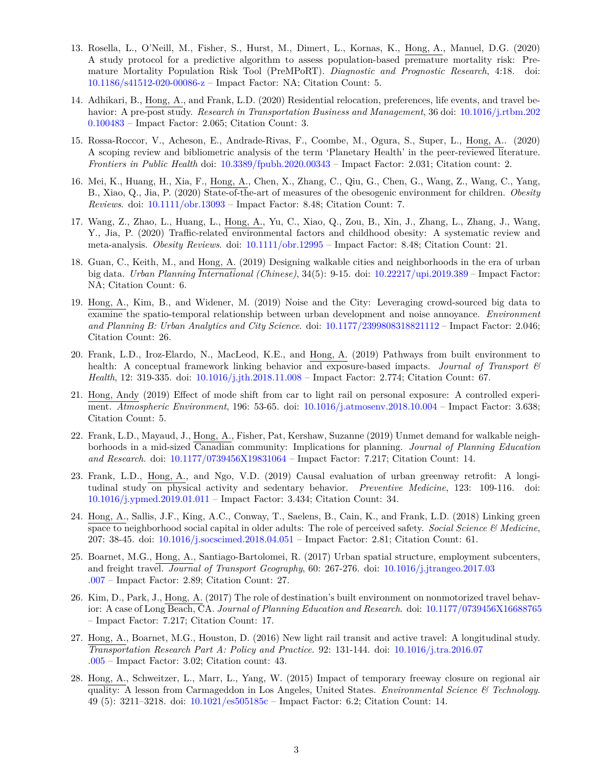- 13. Rosella, L., O'Neill, M., Fisher, S., Hurst, M., Dimert, L., Kornas, K., Hong, A., Manuel, D.G. (2020) A study protocol for a predictive algorithm to assess population-based premature mortality risk: Premature Mortality Population Risk Tool (PreMPoRT). *Diagnostic and Prognostic Research*, 4:18. doi: [10.1186/s41512-020-00086-z](https://doi.org/10.1186/s41512-020-00086-z) – Impact Factor: NA; Citation Count: 5.
- 14. Adhikari, B., Hong, A., and Frank, L.D. (2020) Residential relocation, preferences, life events, and travel behavior: A pre-post study. *Research in Transportation Business and Management*, 36 doi: [10.1016/j.rtbm.202](https://doi.org/10.1016/j.rtbm.2020.100483) [0.100483](https://doi.org/10.1016/j.rtbm.2020.100483) – Impact Factor: 2.065; Citation Count: 3.
- 15. Rossa-Roccor, V., Acheson, E., Andrade-Rivas, F., Coombe, M., Ogura, S., Super, L., Hong, A.. (2020) A scoping review and bibliometric analysis of the term 'Planetary Health' in the peer-reviewed literature. *Frontiers in Public Health* doi: [10.3389/fpubh.2020.00343](https://doi.org/10.3389/fpubh.2020.00343) – Impact Factor: 2.031; Citation count: 2.
- 16. Mei, K., Huang, H., Xia, F., Hong, A., Chen, X., Zhang, C., Qiu, G., Chen, G., Wang, Z., Wang, C., Yang, B., Xiao, Q., Jia, P. (2020) State-of-the-art of measures of the obesogenic environment for children. *Obesity Reviews*. doi: [10.1111/obr.13093](https://doi.org/10.1111/obr.13093) – Impact Factor: 8.48; Citation Count: 7.
- 17. Wang, Z., Zhao, L., Huang, L., Hong, A., Yu, C., Xiao, Q., Zou, B., Xin, J., Zhang, L., Zhang, J., Wang, Y., Jia, P. (2020) Traffic-related environmental factors and childhood obesity: A systematic review and meta-analysis. *Obesity Reviews*. doi: [10.1111/obr.12995](https://doi.org/10.1111/obr.12995) – Impact Factor: 8.48; Citation Count: 21.
- 18. Guan, C., Keith, M., and Hong, A. (2019) Designing walkable cities and neighborhoods in the era of urban big data. *Urban Planning International (Chinese)*, 34(5): 9-15. doi: [10.22217/upi.2019.389](http://www.upi-planning.org/EN/Magazine/Show.aspx?ID=47950) – Impact Factor: NA; Citation Count: 6.
- 19. Hong, A., Kim, B., and Widener, M. (2019) Noise and the City: Leveraging crowd-sourced big data to examine the spatio-temporal relationship between urban development and noise annoyance. *Environment and Planning B: Urban Analytics and City Science*. doi: [10.1177/2399808318821112](https://journals.sagepub.com/doi/10.1177/2399808318821112) – Impact Factor: 2.046; Citation Count: 26.
- 20. Frank, L.D., Iroz-Elardo, N., MacLeod, K.E., and Hong, A. (2019) Pathways from built environment to health: A conceptual framework linking behavior and exposure-based impacts. *Journal of Transport & Health*, 12: 319-335. doi: [10.1016/j.jth.2018.11.008](https://doi.org/10.1016/j.jth.2018.11.008) – Impact Factor: 2.774; Citation Count: 67.
- 21. Hong, Andy (2019) Effect of mode shift from car to light rail on personal exposure: A controlled experiment. *Atmospheric Environment*, 196: 53-65. doi: [10.1016/j.atmosenv.2018.10.004](https://doi.org/10.1016/j.atmosenv.2018.10.004) – Impact Factor: 3.638; Citation Count: 5.
- 22. Frank, L.D., Mayaud, J., Hong, A., Fisher, Pat, Kershaw, Suzanne (2019) Unmet demand for walkable neighborhoods in a mid-sized Canadian community: Implications for planning. *Journal of Planning Education and Research*. doi: [10.1177/0739456X19831064](https://journals.sagepub.com/doi/full/10.1177/0739456X19831064) – Impact Factor: 7.217; Citation Count: 14.
- 23. Frank, L.D., Hong, A., and Ngo, V.D. (2019) Causal evaluation of urban greenway retrofit: A longitudinal study on physical activity and sedentary behavior. *Preventive Medicine*, 123: 109-116. doi: [10.1016/j.ypmed.2019.01.011](https://doi.org/10.1016/j.ypmed.2019.01.011) – Impact Factor: 3.434; Citation Count: 34.
- 24. Hong, A., Sallis, J.F., King, A.C., Conway, T., Saelens, B., Cain, K., and Frank, L.D. (2018) Linking green space to neighborhood social capital in older adults: The role of perceived safety. *Social Science & Medicine*, 207: 38-45. doi: [10.1016/j.socscimed.2018.04.051](https://doi.org/10.1016/j.socscimed.2018.04.051) – Impact Factor: 2.81; Citation Count: 61.
- 25. Boarnet, M.G., Hong, A., Santiago-Bartolomei, R. (2017) Urban spatial structure, employment subcenters, and freight travel. *Journal of Transport Geography*, 60: 267-276. doi: [10.1016/j.jtrangeo.2017.03](https://doi.org/10.1016/j.jtrangeo.2017.03.007) [.007](https://doi.org/10.1016/j.jtrangeo.2017.03.007) – Impact Factor: 2.89; Citation Count: 27.
- 26. Kim, D., Park, J., Hong, A. (2017) The role of destination's built environment on nonmotorized travel behavior: A case of Long Beach, CA. *Journal of Planning Education and Research*. doi: [10.1177/0739456X16688765](https://doi.org/10.1177/0739456X16688765) – Impact Factor: 7.217; Citation Count: 17.
- 27. Hong, A., Boarnet, M.G., Houston, D. (2016) New light rail transit and active travel: A longitudinal study. *Transportation Research Part A: Policy and Practice*. 92: 131-144. doi: [10.1016/j.tra.2016.07](https://doi.org/10.1016/j.tra.2016.07.005) [.005](https://doi.org/10.1016/j.tra.2016.07.005) – Impact Factor: 3.02; Citation count: 43.
- 28. Hong, A., Schweitzer, L., Marr, L., Yang, W. (2015) Impact of temporary freeway closure on regional air quality: A lesson from Carmageddon in Los Angeles, United States. *Environmental Science & Technology*. 49 (5): 3211–3218. doi: [10.1021/es505185c](https://doi.org/10.1021/es505185c) – Impact Factor: 6.2; Citation Count: 14.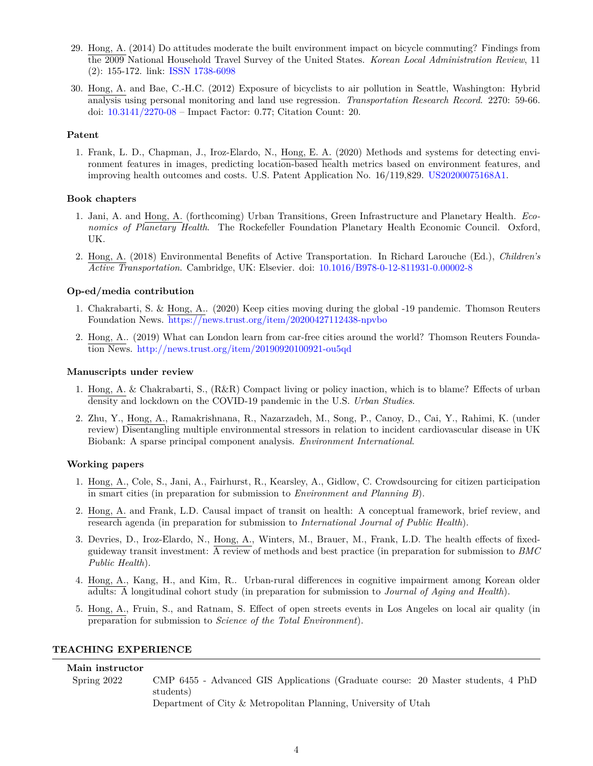- 29. Hong, A. (2014) Do attitudes moderate the built environment impact on bicycle commuting? Findings from the 2009 National Household Travel Survey of the United States. *Korean Local Administration Review*, 11 (2): 155-172. link: [ISSN 1738-6098](http://kisseng.kstudy.com/thesis/thesis-view.asp?key=3464045)
- 30. Hong, A. and Bae, C.-H.C. (2012) Exposure of bicyclists to air pollution in Seattle, Washington: Hybrid analysis using personal monitoring and land use regression. *Transportation Research Record*. 2270: 59-66. doi: [10.3141/2270-08](https://doi.org/10.3141/2270-08) – Impact Factor: 0.77; Citation Count: 20.

### **Patent**

1. Frank, L. D., Chapman, J., Iroz-Elardo, N., Hong, E. A. (2020) Methods and systems for detecting environment features in images, predicting location-based health metrics based on environment features, and improving health outcomes and costs. U.S. Patent Application No. 16/119,829. [US20200075168A1.](https://patents.google.com/patent/US20200075168A1/en)

### **Book chapters**

- 1. Jani, A. and Hong, A. (forthcoming) Urban Transitions, Green Infrastructure and Planetary Health. *Economics of Planetary Health*. The Rockefeller Foundation Planetary Health Economic Council. Oxford, UK.
- 2. Hong, A. (2018) Environmental Benefits of Active Transportation. In Richard Larouche (Ed.), *Children's Active Transportation*. Cambridge, UK: Elsevier. doi: [10.1016/B978-0-12-811931-0.00002-8](https://doi.org/10.1016/B978-0-12-811931-0.00002-8)

### **Op-ed/media contribution**

- 1. Chakrabarti, S. & Hong, A.. (2020) Keep cities moving during the global -19 pandemic. Thomson Reuters Foundation News. <https://news.trust.org/item/20200427112438-npvbo>
- 2. Hong, A.. (2019) What can London learn from car-free cities around the world? Thomson Reuters Foundation News. <http://news.trust.org/item/20190920100921-ou5qd>

### **Manuscripts under review**

- 1. Hong, A. & Chakrabarti, S., (R&R) Compact living or policy inaction, which is to blame? Effects of urban density and lockdown on the COVID-19 pandemic in the U.S. *Urban Studies*.
- 2. Zhu, Y., Hong, A., Ramakrishnana, R., Nazarzadeh, M., Song, P., Canoy, D., Cai, Y., Rahimi, K. (under review) Disentangling multiple environmental stressors in relation to incident cardiovascular disease in UK Biobank: A sparse principal component analysis. *Environment International*.

### **Working papers**

- 1. Hong, A., Cole, S., Jani, A., Fairhurst, R., Kearsley, A., Gidlow, C. Crowdsourcing for citizen participation in smart cities (in preparation for submission to *Environment and Planning B*).
- 2. Hong, A. and Frank, L.D. Causal impact of transit on health: A conceptual framework, brief review, and research agenda (in preparation for submission to *International Journal of Public Health*).
- 3. Devries, D., Iroz-Elardo, N., Hong, A., Winters, M., Brauer, M., Frank, L.D. The health effects of fixedguideway transit investment: A review of methods and best practice (in preparation for submission to *BMC Public Health*).
- 4. Hong, A., Kang, H., and Kim, R.. Urban-rural differences in cognitive impairment among Korean older adults: A longitudinal cohort study (in preparation for submission to *Journal of Aging and Health*).
- 5. Hong, A., Fruin, S., and Ratnam, S. Effect of open streets events in Los Angeles on local air quality (in preparation for submission to *Science of the Total Environment*).

# **TEACHING EXPERIENCE**

# **Main instructor**

Spring 2022 CMP 6455 - Advanced GIS Applications (Graduate course: 20 Master students, 4 PhD students)

Department of City & Metropolitan Planning, University of Utah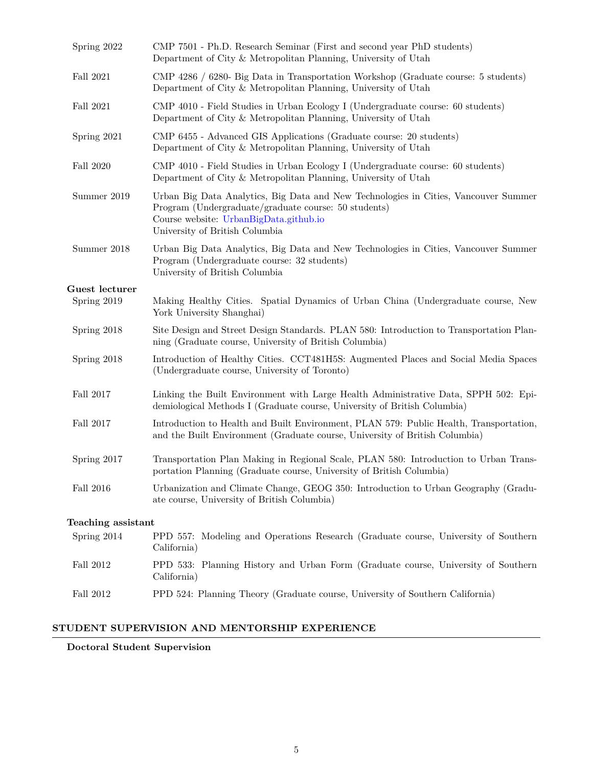| Spring 2022                   | CMP 7501 - Ph.D. Research Seminar (First and second year PhD students)<br>Department of City & Metropolitan Planning, University of Utah                                                                                |
|-------------------------------|-------------------------------------------------------------------------------------------------------------------------------------------------------------------------------------------------------------------------|
| Fall 2021                     | CMP 4286 / 6280- Big Data in Transportation Workshop (Graduate course: 5 students)<br>Department of City & Metropolitan Planning, University of Utah                                                                    |
| Fall 2021                     | CMP 4010 - Field Studies in Urban Ecology I (Undergraduate course: 60 students)<br>Department of City & Metropolitan Planning, University of Utah                                                                       |
| Spring 2021                   | CMP 6455 - Advanced GIS Applications (Graduate course: 20 students)<br>Department of City & Metropolitan Planning, University of Utah                                                                                   |
| Fall 2020                     | CMP 4010 - Field Studies in Urban Ecology I (Undergraduate course: 60 students)<br>Department of City & Metropolitan Planning, University of Utah                                                                       |
| Summer 2019                   | Urban Big Data Analytics, Big Data and New Technologies in Cities, Vancouver Summer<br>Program (Undergraduate/graduate course: 50 students)<br>Course website: UrbanBigData.github.io<br>University of British Columbia |
| Summer 2018                   | Urban Big Data Analytics, Big Data and New Technologies in Cities, Vancouver Summer<br>Program (Undergraduate course: 32 students)<br>University of British Columbia                                                    |
| Guest lecturer<br>Spring 2019 | Making Healthy Cities. Spatial Dynamics of Urban China (Undergraduate course, New                                                                                                                                       |
|                               | York University Shanghai)                                                                                                                                                                                               |
| Spring 2018                   | Site Design and Street Design Standards. PLAN 580: Introduction to Transportation Plan-<br>ning (Graduate course, University of British Columbia)                                                                       |
| Spring 2018                   | Introduction of Healthy Cities. CCT481H5S: Augmented Places and Social Media Spaces<br>(Undergraduate course, University of Toronto)                                                                                    |
| Fall 2017                     | Linking the Built Environment with Large Health Administrative Data, SPPH 502: Epi-<br>demiological Methods I (Graduate course, University of British Columbia)                                                         |
| Fall 2017                     | Introduction to Health and Built Environment, PLAN 579: Public Health, Transportation,<br>and the Built Environment (Graduate course, University of British Columbia)                                                   |
| Spring 2017                   | Transportation Plan Making in Regional Scale, PLAN 580: Introduction to Urban Trans-<br>portation Planning (Graduate course, University of British Columbia)                                                            |
| Fall 2016                     | Urbanization and Climate Change, GEOG 350: Introduction to Urban Geography (Gradu-<br>ate course, University of British Columbia)                                                                                       |
| Teaching assistant            |                                                                                                                                                                                                                         |
| Spring 2014                   | PPD 557: Modeling and Operations Research (Graduate course, University of Southern<br>California)                                                                                                                       |
| Fall 2012                     | PPD 533: Planning History and Urban Form (Graduate course, University of Southern<br>California)                                                                                                                        |
| Fall 2012                     | PPD 524: Planning Theory (Graduate course, University of Southern California)                                                                                                                                           |

# **STUDENT SUPERVISION AND MENTORSHIP EXPERIENCE**

# **Doctoral Student Supervision**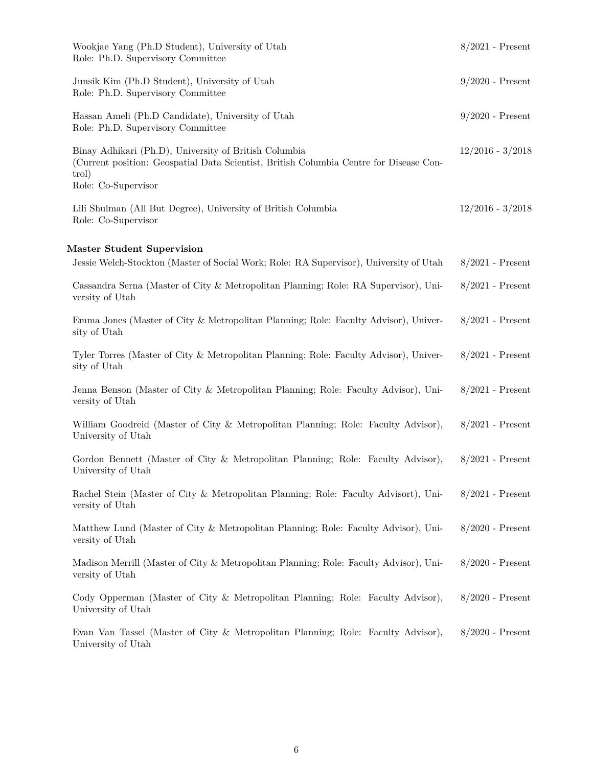| Wookjae Yang (Ph.D Student), University of Utah<br>Role: Ph.D. Supervisory Committee                                                                                            | $8/2021$ - Present |
|---------------------------------------------------------------------------------------------------------------------------------------------------------------------------------|--------------------|
| Junsik Kim (Ph.D Student), University of Utah<br>Role: Ph.D. Supervisory Committee                                                                                              | $9/2020$ - Present |
| Hassan Ameli (Ph.D Candidate), University of Utah<br>Role: Ph.D. Supervisory Committee                                                                                          | $9/2020$ - Present |
| Binay Adhikari (Ph.D), University of British Columbia<br>(Current position: Geospatial Data Scientist, British Columbia Centre for Disease Con-<br>trol)<br>Role: Co-Supervisor | $12/2016 - 3/2018$ |
| Lili Shulman (All But Degree), University of British Columbia<br>Role: Co-Supervisor                                                                                            | $12/2016 - 3/2018$ |
| Master Student Supervision                                                                                                                                                      |                    |
| Jessie Welch-Stockton (Master of Social Work; Role: RA Supervisor), University of Utah                                                                                          | $8/2021$ - Present |
| Cassandra Serna (Master of City & Metropolitan Planning; Role: RA Supervisor), Uni-<br>versity of Utah                                                                          | $8/2021$ - Present |
| Emma Jones (Master of City & Metropolitan Planning; Role: Faculty Advisor), Univer-<br>sity of Utah                                                                             | $8/2021$ - Present |
| Tyler Torres (Master of City & Metropolitan Planning; Role: Faculty Advisor), Univer-<br>sity of Utah                                                                           | $8/2021$ - Present |
| Jenna Benson (Master of City & Metropolitan Planning; Role: Faculty Advisor), Uni-<br>versity of Utah                                                                           | $8/2021$ - Present |
| William Goodreid (Master of City & Metropolitan Planning; Role: Faculty Advisor),<br>University of Utah                                                                         | $8/2021$ - Present |
| Gordon Bennett (Master of City & Metropolitan Planning; Role: Faculty Advisor),<br>University of Utah                                                                           | $8/2021$ - Present |
| Rachel Stein (Master of City & Metropolitan Planning; Role: Faculty Advisort), Uni-<br>versity of Utah                                                                          | $8/2021$ - Present |
| Matthew Lund (Master of City & Metropolitan Planning; Role: Faculty Advisor), Uni-<br>versity of Utah                                                                           | $8/2020$ - Present |
| Madison Merrill (Master of City & Metropolitan Planning; Role: Faculty Advisor), Uni-<br>versity of Utah                                                                        | $8/2020$ - Present |
| Cody Opperman (Master of City & Metropolitan Planning; Role: Faculty Advisor),<br>University of Utah                                                                            | $8/2020$ - Present |
| Evan Van Tassel (Master of City & Metropolitan Planning; Role: Faculty Advisor),<br>University of Utah                                                                          | $8/2020$ - Present |
|                                                                                                                                                                                 |                    |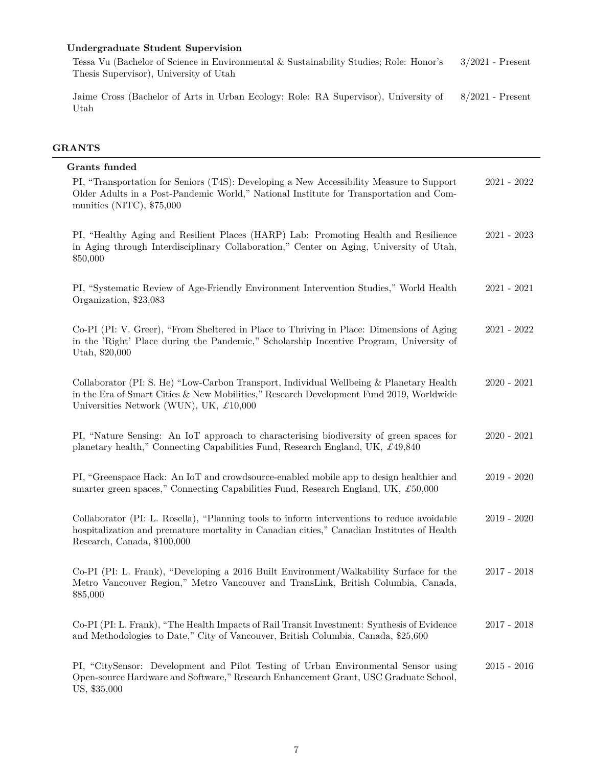# **Undergraduate Student Supervision**

Tessa Vu (Bachelor of Science in Environmental & Sustainability Studies; Role: Honor's Thesis Supervisor), University of Utah 3/2021 - Present

Jaime Cross (Bachelor of Arts in Urban Ecology; Role: RA Supervisor), University of Utah 8/2021 - Present

# **GRANTS**

| Grants funded                                                                                                                                                                                                                          |               |
|----------------------------------------------------------------------------------------------------------------------------------------------------------------------------------------------------------------------------------------|---------------|
| PI, "Transportation for Seniors (T4S): Developing a New Accessibility Measure to Support<br>Older Adults in a Post-Pandemic World," National Institute for Transportation and Com-<br>munities (NITC), $$75,000$                       | $2021 - 2022$ |
| PI, "Healthy Aging and Resilient Places (HARP) Lab: Promoting Health and Resilience<br>in Aging through Interdisciplinary Collaboration," Center on Aging, University of Utah,<br>\$50,000                                             | $2021 - 2023$ |
| PI, "Systematic Review of Age-Friendly Environment Intervention Studies," World Health<br>Organization, \$23,083                                                                                                                       | $2021 - 2021$ |
| Co-PI (PI: V. Greer), "From Sheltered in Place to Thriving in Place: Dimensions of Aging<br>in the 'Right' Place during the Pandemic," Scholarship Incentive Program, University of<br>Utah, \$20,000                                  | $2021 - 2022$ |
| Collaborator (PI: S. He) "Low-Carbon Transport, Individual Wellbeing & Planetary Health<br>in the Era of Smart Cities & New Mobilities," Research Development Fund 2019, Worldwide<br>Universities Network (WUN), UK, $\pounds 10,000$ | $2020 - 2021$ |
| PI, "Nature Sensing: An IoT approach to characterising biodiversity of green spaces for<br>planetary health," Connecting Capabilities Fund, Research England, UK, $\pounds$ 49,840                                                     | $2020 - 2021$ |
| PI, "Greenspace Hack: An IoT and crowdsource-enabled mobile app to design healthier and<br>smarter green spaces," Connecting Capabilities Fund, Research England, UK, $\pounds 50,000$                                                 | $2019 - 2020$ |
| Collaborator (PI: L. Rosella), "Planning tools to inform interventions to reduce avoidable<br>hospitalization and premature mortality in Canadian cities," Canadian Institutes of Health<br>Research, Canada, \$100,000                | $2019 - 2020$ |
| Co-PI (PI: L. Frank), "Developing a 2016 Built Environment/Walkability Surface for the<br>Metro Vancouver Region," Metro Vancouver and TransLink, British Columbia, Canada,<br>\$85,000                                                | $2017 - 2018$ |
| Co-PI (PI: L. Frank), "The Health Impacts of Rail Transit Investment: Synthesis of Evidence<br>and Methodologies to Date," City of Vancouver, British Columbia, Canada, \$25,600                                                       | $2017 - 2018$ |
| PI, "CitySensor: Development and Pilot Testing of Urban Environmental Sensor using<br>Open-source Hardware and Software," Research Enhancement Grant, USC Graduate School,<br>US, \$35,000                                             | $2015 - 2016$ |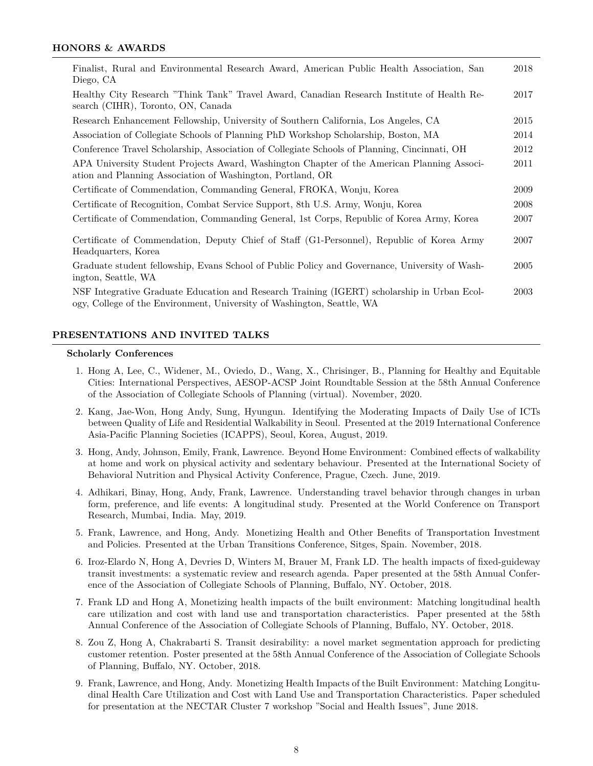### **HONORS & AWARDS**

| Finalist, Rural and Environmental Research Award, American Public Health Association, San<br>Diego, CA                                                                | 2018 |
|-----------------------------------------------------------------------------------------------------------------------------------------------------------------------|------|
| Healthy City Research "Think Tank" Travel Award, Canadian Research Institute of Health Re-<br>search (CIHR), Toronto, ON, Canada                                      | 2017 |
| Research Enhancement Fellowship, University of Southern California, Los Angeles, CA                                                                                   | 2015 |
| Association of Collegiate Schools of Planning PhD Workshop Scholarship, Boston, MA                                                                                    | 2014 |
| Conference Travel Scholarship, Association of Collegiate Schools of Planning, Cincinnati, OH                                                                          | 2012 |
| APA University Student Projects Award, Washington Chapter of the American Planning Associ-<br>ation and Planning Association of Washington, Portland, OR              | 2011 |
| Certificate of Commendation, Commanding General, FROKA, Wonju, Korea                                                                                                  | 2009 |
| Certificate of Recognition, Combat Service Support, 8th U.S. Army, Wonju, Korea                                                                                       | 2008 |
| Certificate of Commendation, Commanding General, 1st Corps, Republic of Korea Army, Korea                                                                             | 2007 |
| Certificate of Commendation, Deputy Chief of Staff (G1-Personnel), Republic of Korea Army<br>2007<br>Headquarters, Korea                                              |      |
| Graduate student fellowship, Evans School of Public Policy and Governance, University of Wash-<br>ington, Seattle, WA                                                 | 2005 |
| NSF Integrative Graduate Education and Research Training (IGERT) scholarship in Urban Ecol-<br>ogy, College of the Environment, University of Washington, Seattle, WA | 2003 |

### **PRESENTATIONS AND INVITED TALKS**

### **Scholarly Conferences**

- 1. Hong A, Lee, C., Widener, M., Oviedo, D., Wang, X., Chrisinger, B., Planning for Healthy and Equitable Cities: International Perspectives, AESOP-ACSP Joint Roundtable Session at the 58th Annual Conference of the Association of Collegiate Schools of Planning (virtual). November, 2020.
- 2. Kang, Jae-Won, Hong Andy, Sung, Hyungun. Identifying the Moderating Impacts of Daily Use of ICTs between Quality of Life and Residential Walkability in Seoul. Presented at the 2019 International Conference Asia-Pacific Planning Societies (ICAPPS), Seoul, Korea, August, 2019.
- 3. Hong, Andy, Johnson, Emily, Frank, Lawrence. Beyond Home Environment: Combined effects of walkability at home and work on physical activity and sedentary behaviour. Presented at the International Society of Behavioral Nutrition and Physical Activity Conference, Prague, Czech. June, 2019.
- 4. Adhikari, Binay, Hong, Andy, Frank, Lawrence. Understanding travel behavior through changes in urban form, preference, and life events: A longitudinal study. Presented at the World Conference on Transport Research, Mumbai, India. May, 2019.
- 5. Frank, Lawrence, and Hong, Andy. Monetizing Health and Other Benefits of Transportation Investment and Policies. Presented at the Urban Transitions Conference, Sitges, Spain. November, 2018.
- 6. Iroz-Elardo N, Hong A, Devries D, Winters M, Brauer M, Frank LD. The health impacts of fixed-guideway transit investments: a systematic review and research agenda. Paper presented at the 58th Annual Conference of the Association of Collegiate Schools of Planning, Buffalo, NY. October, 2018.
- 7. Frank LD and Hong A, Monetizing health impacts of the built environment: Matching longitudinal health care utilization and cost with land use and transportation characteristics. Paper presented at the 58th Annual Conference of the Association of Collegiate Schools of Planning, Buffalo, NY. October, 2018.
- 8. Zou Z, Hong A, Chakrabarti S. Transit desirability: a novel market segmentation approach for predicting customer retention. Poster presented at the 58th Annual Conference of the Association of Collegiate Schools of Planning, Buffalo, NY. October, 2018.
- 9. Frank, Lawrence, and Hong, Andy. Monetizing Health Impacts of the Built Environment: Matching Longitudinal Health Care Utilization and Cost with Land Use and Transportation Characteristics. Paper scheduled for presentation at the NECTAR Cluster 7 workshop "Social and Health Issues", June 2018.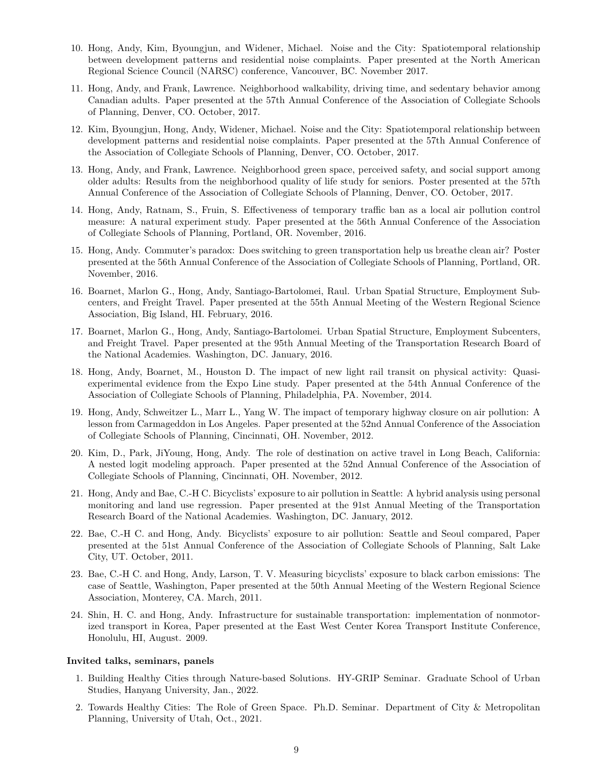- 10. Hong, Andy, Kim, Byoungjun, and Widener, Michael. Noise and the City: Spatiotemporal relationship between development patterns and residential noise complaints. Paper presented at the North American Regional Science Council (NARSC) conference, Vancouver, BC. November 2017.
- 11. Hong, Andy, and Frank, Lawrence. Neighborhood walkability, driving time, and sedentary behavior among Canadian adults. Paper presented at the 57th Annual Conference of the Association of Collegiate Schools of Planning, Denver, CO. October, 2017.
- 12. Kim, Byoungjun, Hong, Andy, Widener, Michael. Noise and the City: Spatiotemporal relationship between development patterns and residential noise complaints. Paper presented at the 57th Annual Conference of the Association of Collegiate Schools of Planning, Denver, CO. October, 2017.
- 13. Hong, Andy, and Frank, Lawrence. Neighborhood green space, perceived safety, and social support among older adults: Results from the neighborhood quality of life study for seniors. Poster presented at the 57th Annual Conference of the Association of Collegiate Schools of Planning, Denver, CO. October, 2017.
- 14. Hong, Andy, Ratnam, S., Fruin, S. Effectiveness of temporary traffic ban as a local air pollution control measure: A natural experiment study. Paper presented at the 56th Annual Conference of the Association of Collegiate Schools of Planning, Portland, OR. November, 2016.
- 15. Hong, Andy. Commuter's paradox: Does switching to green transportation help us breathe clean air? Poster presented at the 56th Annual Conference of the Association of Collegiate Schools of Planning, Portland, OR. November, 2016.
- 16. Boarnet, Marlon G., Hong, Andy, Santiago-Bartolomei, Raul. Urban Spatial Structure, Employment Subcenters, and Freight Travel. Paper presented at the 55th Annual Meeting of the Western Regional Science Association, Big Island, HI. February, 2016.
- 17. Boarnet, Marlon G., Hong, Andy, Santiago-Bartolomei. Urban Spatial Structure, Employment Subcenters, and Freight Travel. Paper presented at the 95th Annual Meeting of the Transportation Research Board of the National Academies. Washington, DC. January, 2016.
- 18. Hong, Andy, Boarnet, M., Houston D. The impact of new light rail transit on physical activity: Quasiexperimental evidence from the Expo Line study. Paper presented at the 54th Annual Conference of the Association of Collegiate Schools of Planning, Philadelphia, PA. November, 2014.
- 19. Hong, Andy, Schweitzer L., Marr L., Yang W. The impact of temporary highway closure on air pollution: A lesson from Carmageddon in Los Angeles. Paper presented at the 52nd Annual Conference of the Association of Collegiate Schools of Planning, Cincinnati, OH. November, 2012.
- 20. Kim, D., Park, JiYoung, Hong, Andy. The role of destination on active travel in Long Beach, California: A nested logit modeling approach. Paper presented at the 52nd Annual Conference of the Association of Collegiate Schools of Planning, Cincinnati, OH. November, 2012.
- 21. Hong, Andy and Bae, C.-H C. Bicyclists' exposure to air pollution in Seattle: A hybrid analysis using personal monitoring and land use regression. Paper presented at the 91st Annual Meeting of the Transportation Research Board of the National Academies. Washington, DC. January, 2012.
- 22. Bae, C.-H C. and Hong, Andy. Bicyclists' exposure to air pollution: Seattle and Seoul compared, Paper presented at the 51st Annual Conference of the Association of Collegiate Schools of Planning, Salt Lake City, UT. October, 2011.
- 23. Bae, C.-H C. and Hong, Andy, Larson, T. V. Measuring bicyclists' exposure to black carbon emissions: The case of Seattle, Washington, Paper presented at the 50th Annual Meeting of the Western Regional Science Association, Monterey, CA. March, 2011.
- 24. Shin, H. C. and Hong, Andy. Infrastructure for sustainable transportation: implementation of nonmotorized transport in Korea, Paper presented at the East West Center Korea Transport Institute Conference, Honolulu, HI, August. 2009.

### **Invited talks, seminars, panels**

- 1. Building Healthy Cities through Nature-based Solutions. HY-GRIP Seminar. Graduate School of Urban Studies, Hanyang University, Jan., 2022.
- 2. Towards Healthy Cities: The Role of Green Space. Ph.D. Seminar. Department of City & Metropolitan Planning, University of Utah, Oct., 2021.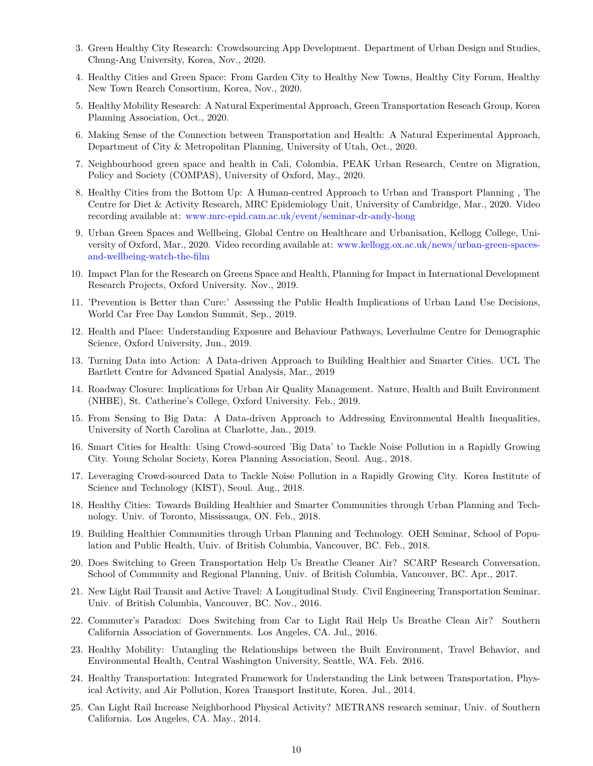- 3. Green Healthy City Research: Crowdsourcing App Development. Department of Urban Design and Studies, Chung-Ang University, Korea, Nov., 2020.
- 4. Healthy Cities and Green Space: From Garden City to Healthy New Towns, Healthy City Forum, Healthy New Town Rearch Consortium, Korea, Nov., 2020.
- 5. Healthy Mobility Research: A Natural Experimental Approach, Green Transportation Reseach Group, Korea Planning Association, Oct., 2020.
- 6. Making Sense of the Connection between Transportation and Health: A Natural Experimental Approach, Department of City & Metropolitan Planning, University of Utah, Oct., 2020.
- 7. Neighbourhood green space and health in Cali, Colombia, PEAK Urban Research, Centre on Migration, Policy and Society (COMPAS), University of Oxford, May., 2020.
- 8. Healthy Cities from the Bottom Up: A Human-centred Approach to Urban and Transport Planning , The Centre for Diet & Activity Research, MRC Epidemiology Unit, University of Cambridge, Mar., 2020. Video recording available at: [www.mrc-epid.cam.ac.uk/event/seminar-dr-andy-hong](http://www.mrc-epid.cam.ac.uk/event/seminar-dr-andy-hong)
- 9. Urban Green Spaces and Wellbeing, Global Centre on Healthcare and Urbanisation, Kellogg College, University of Oxford, Mar., 2020. Video recording available at: [www.kellogg.ox.ac.uk/news/urban-green-spaces](https://www.kellogg.ox.ac.uk/news/urban-green-spaces-and-wellbeing-watch-the-film)[and-wellbeing-watch-the-film](https://www.kellogg.ox.ac.uk/news/urban-green-spaces-and-wellbeing-watch-the-film)
- 10. Impact Plan for the Research on Greens Space and Health, Planning for Impact in International Development Research Projects, Oxford University. Nov., 2019.
- 11. 'Prevention is Better than Cure:' Assessing the Public Health Implications of Urban Land Use Decisions, World Car Free Day London Summit, Sep., 2019.
- 12. Health and Place: Understanding Exposure and Behaviour Pathways, Leverhulme Centre for Demographic Science, Oxford University, Jun., 2019.
- 13. Turning Data into Action: A Data-driven Approach to Building Healthier and Smarter Cities. UCL The Bartlett Centre for Advanced Spatial Analysis, Mar., 2019
- 14. Roadway Closure: Implications for Urban Air Quality Management. Nature, Health and Built Environment (NHBE), St. Catherine's College, Oxford University. Feb., 2019.
- 15. From Sensing to Big Data: A Data-driven Approach to Addressing Environmental Health Inequalities, University of North Carolina at Charlotte, Jan., 2019.
- 16. Smart Cities for Health: Using Crowd-sourced 'Big Data' to Tackle Noise Pollution in a Rapidly Growing City. Young Scholar Society, Korea Planning Association, Seoul. Aug., 2018.
- 17. Leveraging Crowd-sourced Data to Tackle Noise Pollution in a Rapidly Growing City. Korea Institute of Science and Technology (KIST), Seoul. Aug., 2018.
- 18. Healthy Cities: Towards Building Healthier and Smarter Communities through Urban Planning and Technology. Univ. of Toronto, Mississauga, ON. Feb., 2018.
- 19. Building Healthier Communities through Urban Planning and Technology. OEH Seminar, School of Population and Public Health, Univ. of British Columbia, Vancouver, BC. Feb., 2018.
- 20. Does Switching to Green Transportation Help Us Breathe Cleaner Air? SCARP Research Conversation, School of Community and Regional Planning, Univ. of British Columbia, Vancouver, BC. Apr., 2017.
- 21. New Light Rail Transit and Active Travel: A Longitudinal Study. Civil Engineering Transportation Seminar. Univ. of British Columbia, Vancouver, BC. Nov., 2016.
- 22. Commuter's Paradox: Does Switching from Car to Light Rail Help Us Breathe Clean Air? Southern California Association of Governments. Los Angeles, CA. Jul., 2016.
- 23. Healthy Mobility: Untangling the Relationships between the Built Environment, Travel Behavior, and Environmental Health, Central Washington University, Seattle, WA. Feb. 2016.
- 24. Healthy Transportation: Integrated Framework for Understanding the Link between Transportation, Physical Activity, and Air Pollution, Korea Transport Institute, Korea. Jul., 2014.
- 25. Can Light Rail Increase Neighborhood Physical Activity? METRANS research seminar, Univ. of Southern California. Los Angeles, CA. May., 2014.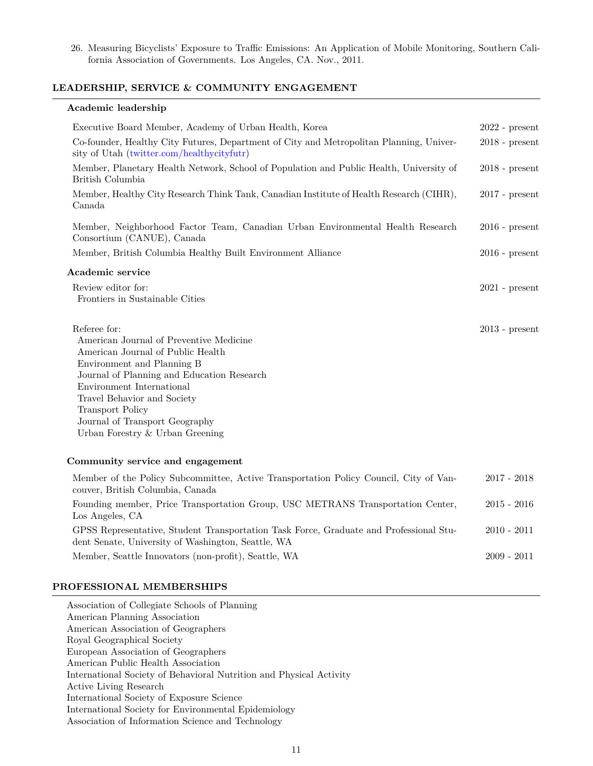26. Measuring Bicyclists' Exposure to Traffic Emissions: An Application of Mobile Monitoring, Southern California Association of Governments. Los Angeles, CA. Nov., 2011.

### **LEADERSHIP, SERVICE & COMMUNITY ENGAGEMENT**

### **Academic leadership**

| Executive Board Member, Academy of Urban Health, Korea                                                                                                                                                                                                                                                                               | $2022$ - present |
|--------------------------------------------------------------------------------------------------------------------------------------------------------------------------------------------------------------------------------------------------------------------------------------------------------------------------------------|------------------|
| Co-founder, Healthy City Futures, Department of City and Metropolitan Planning, Univer-<br>sity of Utah (twitter.com/healthycityfutr)                                                                                                                                                                                                | $2018$ - present |
| Member, Planetary Health Network, School of Population and Public Health, University of<br>British Columbia                                                                                                                                                                                                                          | $2018$ - present |
| Member, Healthy City Research Think Tank, Canadian Institute of Health Research (CIHR),<br>Canada                                                                                                                                                                                                                                    | $2017$ - present |
| Member, Neighborhood Factor Team, Canadian Urban Environmental Health Research<br>Consortium (CANUE), Canada                                                                                                                                                                                                                         | $2016$ - present |
| Member, British Columbia Healthy Built Environment Alliance                                                                                                                                                                                                                                                                          | $2016$ - present |
| Academic service                                                                                                                                                                                                                                                                                                                     |                  |
| Review editor for:<br>Frontiers in Sustainable Cities                                                                                                                                                                                                                                                                                | $2021$ - present |
| Referee for:<br>American Journal of Preventive Medicine<br>American Journal of Public Health<br>Environment and Planning B<br>Journal of Planning and Education Research<br>Environment International<br>Travel Behavior and Society<br><b>Transport Policy</b><br>Journal of Transport Geography<br>Urban Forestry & Urban Greening | $2013$ - present |
| Community service and engagement                                                                                                                                                                                                                                                                                                     |                  |
| Member of the Policy Subcommittee, Active Transportation Policy Council, City of Van-<br>couver, British Columbia, Canada                                                                                                                                                                                                            | $2017 - 2018$    |
| Founding member, Price Transportation Group, USC METRANS Transportation Center,                                                                                                                                                                                                                                                      | $2015 - 2016$    |

Los Angeles, CA GPSS Representative, Student Transportation Task Force, Graduate and Professional Student Senate, University of Washington, Seattle, WA 2010 - 2011 Member, Seattle Innovators (non-profit), Seattle, WA 2009 - 2011

### **PROFESSIONAL MEMBERSHIPS**

Association of Collegiate Schools of Planning American Planning Association American Association of Geographers Royal Geographical Society European Association of Geographers American Public Health Association International Society of Behavioral Nutrition and Physical Activity Active Living Research International Society of Exposure Science International Society for Environmental Epidemiology Association of Information Science and Technology